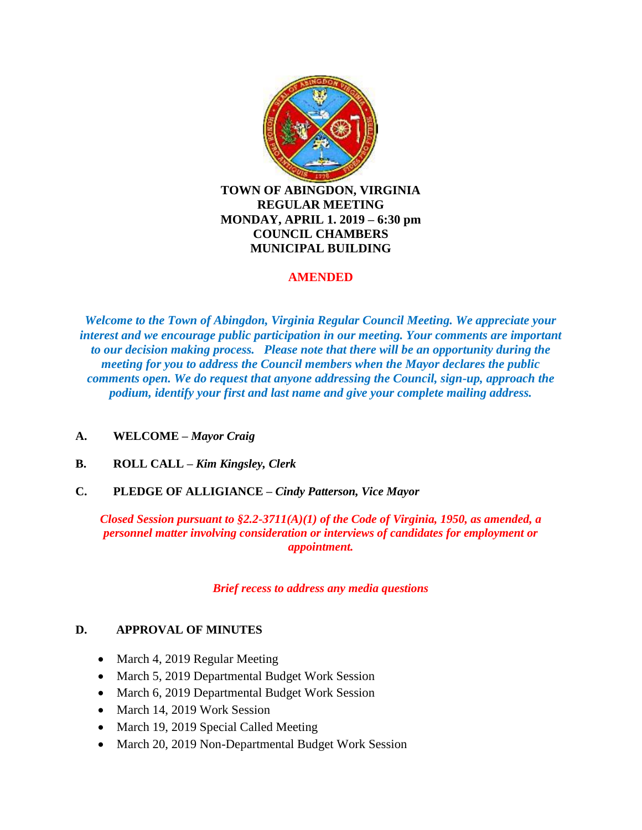

### **AMENDED**

*Welcome to the Town of Abingdon, Virginia Regular Council Meeting. We appreciate your interest and we encourage public participation in our meeting. Your comments are important to our decision making process. Please note that there will be an opportunity during the meeting for you to address the Council members when the Mayor declares the public comments open. We do request that anyone addressing the Council, sign-up, approach the podium, identify your first and last name and give your complete mailing address.*

- **A. WELCOME –** *Mayor Craig*
- **B. ROLL CALL –** *Kim Kingsley, Clerk*
- **C. PLEDGE OF ALLIGIANCE –** *Cindy Patterson, Vice Mayor*

*Closed Session pursuant to §2.2-3711(A)(1) of the Code of Virginia, 1950, as amended, a personnel matter involving consideration or interviews of candidates for employment or appointment.*

*Brief recess to address any media questions*

### **D. APPROVAL OF MINUTES**

- March 4, 2019 Regular Meeting
- March 5, 2019 Departmental Budget Work Session
- March 6, 2019 Departmental Budget Work Session
- March 14, 2019 Work Session
- March 19, 2019 Special Called Meeting
- March 20, 2019 Non-Departmental Budget Work Session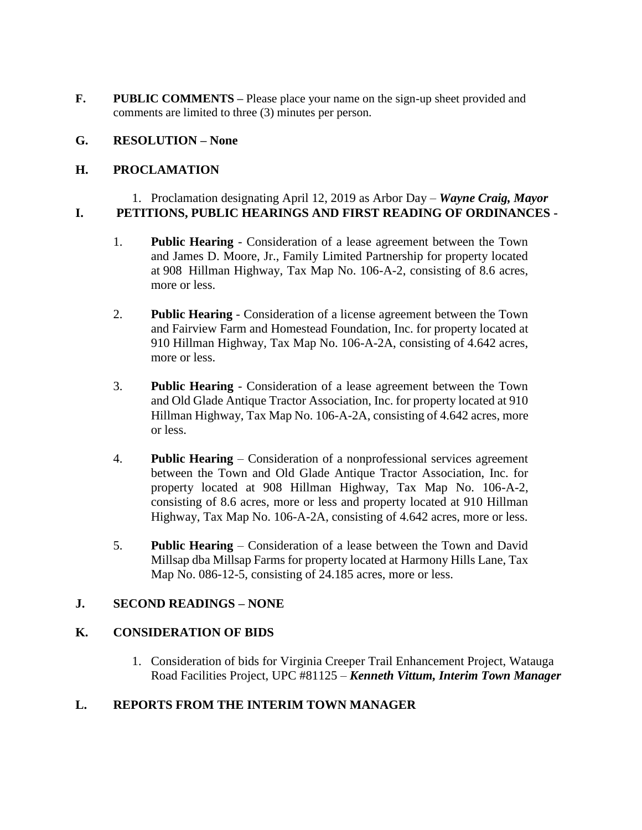**F.** PUBLIC COMMENTS – Please place your name on the sign-up sheet provided and comments are limited to three (3) minutes per person.

### **G. RESOLUTION – None**

## **H. PROCLAMATION**

#### 1. Proclamation designating April 12, 2019 as Arbor Day – *Wayne Craig, Mayor* **I. PETITIONS, PUBLIC HEARINGS AND FIRST READING OF ORDINANCES -**

- 1. **Public Hearing** Consideration of a lease agreement between the Town and James D. Moore, Jr., Family Limited Partnership for property located at 908 Hillman Highway, Tax Map No. 106-A-2, consisting of 8.6 acres, more or less.
- 2. **Public Hearing** Consideration of a license agreement between the Town and Fairview Farm and Homestead Foundation, Inc. for property located at 910 Hillman Highway, Tax Map No. 106-A-2A, consisting of 4.642 acres, more or less.
- 3. **Public Hearing** Consideration of a lease agreement between the Town and Old Glade Antique Tractor Association, Inc. for property located at 910 Hillman Highway, Tax Map No. 106-A-2A, consisting of 4.642 acres, more or less.
- 4. **Public Hearing** Consideration of a nonprofessional services agreement between the Town and Old Glade Antique Tractor Association, Inc. for property located at 908 Hillman Highway, Tax Map No. 106-A-2, consisting of 8.6 acres, more or less and property located at 910 Hillman Highway, Tax Map No. 106-A-2A, consisting of 4.642 acres, more or less.
- 5. **Public Hearing** Consideration of a lease between the Town and David Millsap dba Millsap Farms for property located at Harmony Hills Lane, Tax Map No. 086-12-5, consisting of 24.185 acres, more or less.

### **J. SECOND READINGS – NONE**

### **K. CONSIDERATION OF BIDS**

1. Consideration of bids for Virginia Creeper Trail Enhancement Project, Watauga Road Facilities Project, UPC #81125 – *Kenneth Vittum, Interim Town Manager*

# **L. REPORTS FROM THE INTERIM TOWN MANAGER**